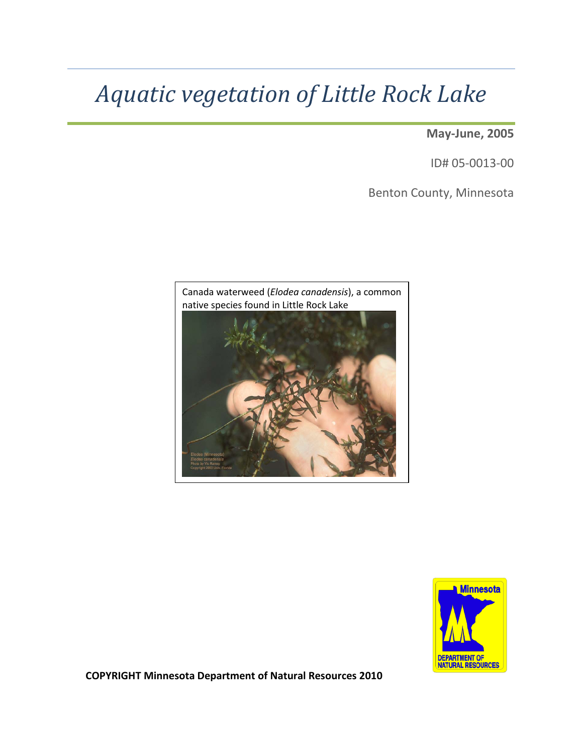# *Aquatic vegetation of Little Rock Lake*

**May-June, 2005**

ID# 05-0013-00

Benton County, Minnesota





**COPYRIGHT Minnesota Department of Natural Resources 2010**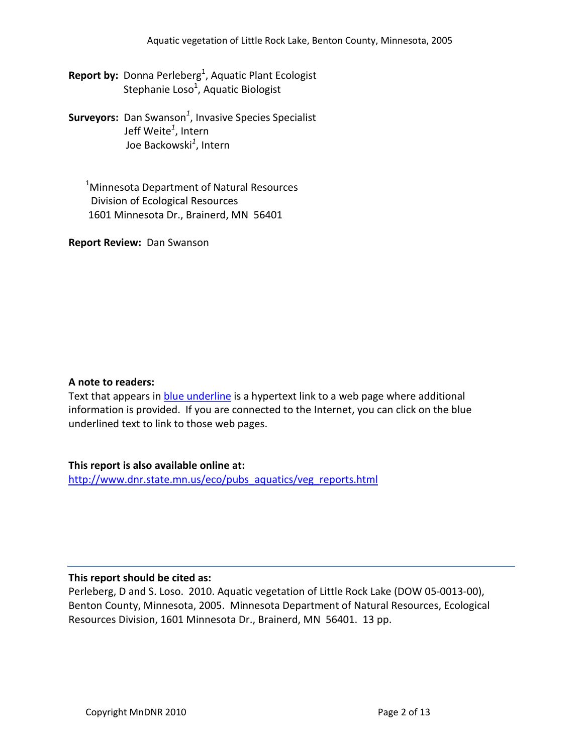- **Report by:** Donna Perleberg<sup>1</sup>, Aquatic Plant Ecologist Stephanie Loso<sup>1</sup>, Aquatic Biologist
- **Surveyors:** Dan Swanson*<sup>1</sup>* , Invasive Species Specialist Jeff Weite*<sup>1</sup>* , Intern Joe Backowski*<sup>1</sup>* , Intern

 $^{1}$ Minnesota Department of Natural Resources Division of Ecological Resources 1601 Minnesota Dr., Brainerd, MN 56401

**Report Review:** Dan Swanson

#### **A note to readers:**

Text that appears in blue underline is a hypertext link to a web page where additional information is provided. If you are connected to the Internet, you can click on the blue underlined text to link to those web pages.

### **This report is also available online at:**

[http://www.dnr.state.mn.us/eco/pubs\\_aquatics/veg\\_reports.html](http://www.dnr.state.mn.us/eco/pubs_aquatics/veg_reports.html)

#### **This report should be cited as:**

Perleberg, D and S. Loso. 2010. Aquatic vegetation of Little Rock Lake (DOW 05-0013-00), Benton County, Minnesota, 2005. Minnesota Department of Natural Resources, Ecological Resources Division, 1601 Minnesota Dr., Brainerd, MN 56401. 13 pp.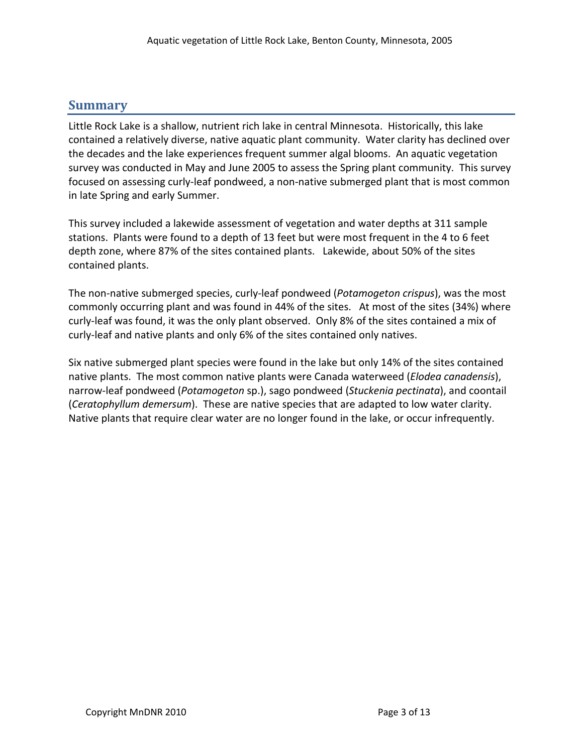# **Summary**

Little Rock Lake is a shallow, nutrient rich lake in central Minnesota. Historically, this lake contained a relatively diverse, native aquatic plant community. Water clarity has declined over the decades and the lake experiences frequent summer algal blooms. An aquatic vegetation survey was conducted in May and June 2005 to assess the Spring plant community. This survey focused on assessing curly-leaf pondweed, a non-native submerged plant that is most common in late Spring and early Summer.

This survey included a lakewide assessment of vegetation and water depths at 311 sample stations. Plants were found to a depth of 13 feet but were most frequent in the 4 to 6 feet depth zone, where 87% of the sites contained plants. Lakewide, about 50% of the sites contained plants.

The non-native submerged species, curly-leaf pondweed (*Potamogeton crispus*), was the most commonly occurring plant and was found in 44% of the sites. At most of the sites (34%) where curly-leaf was found, it was the only plant observed. Only 8% of the sites contained a mix of curly-leaf and native plants and only 6% of the sites contained only natives.

Six native submerged plant species were found in the lake but only 14% of the sites contained native plants. The most common native plants were Canada waterweed (*Elodea canadensis*), narrow-leaf pondweed (*Potamogeton* sp.), sago pondweed (*Stuckenia pectinata*), and coontail (*Ceratophyllum demersum*). These are native species that are adapted to low water clarity. Native plants that require clear water are no longer found in the lake, or occur infrequently.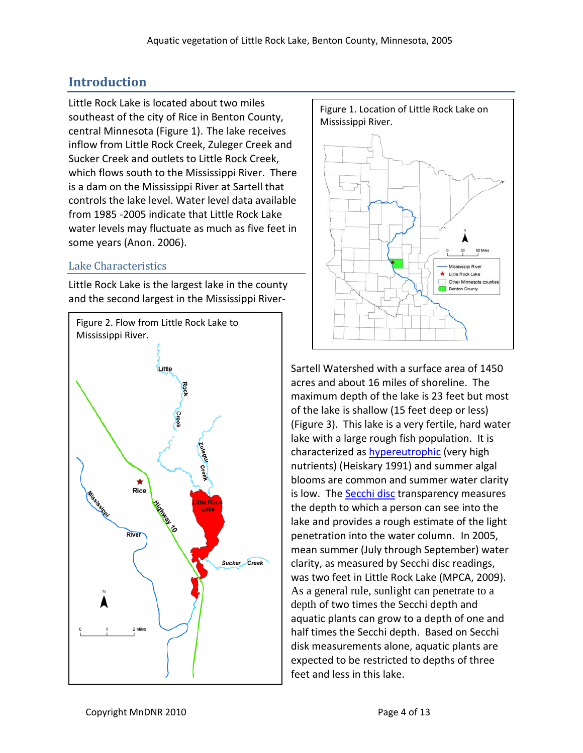# **Introduction**

Little Rock Lake is located about two miles southeast of the city of Rice in Benton County, central Minnesota (Figure 1). The lake receives inflow from Little Rock Creek, Zuleger Creek and Sucker Creek and outlets to Little Rock Creek, which flows south to the Mississippi River. There is a dam on the Mississippi River at Sartell that controls the lake level. Water level data available from 1985 -2005 indicate that Little Rock Lake water levels may fluctuate as much as five feet in some years (Anon. 2006).

## Lake Characteristics

Little Rock Lake is the largest lake in the county and the second largest in the Mississippi River-





Sartell Watershed with a surface area of 1450 acres and about 16 miles of shoreline. The maximum depth of the lake is 23 feet but most of the lake is shallow (15 feet deep or less) (Figure 3). This lake is a very fertile, hard water lake with a large rough fish population. It is characterized as **[hypereutrophic](http://www.pca.state.mn.us/water/secchi-slideshow-h.html)** (very high nutrients) (Heiskary 1991) and summer algal blooms are common and summer water clarity is low. Th[e Secchi disc](http://www.pca.state.mn.us/water/secchi-slideshow.html) transparency measures the depth to which a person can see into the lake and provides a rough estimate of the light penetration into the water column. In 2005, mean summer (July through September) water clarity, as measured by Secchi disc readings, was two feet in Little Rock Lake (MPCA, 2009). As a general rule, sunlight can penetrate to a depth of two times the Secchi depth and aquatic plants can grow to a depth of one and half times the Secchi depth. Based on Secchi disk measurements alone, aquatic plants are expected to be restricted to depths of three feet and less in this lake.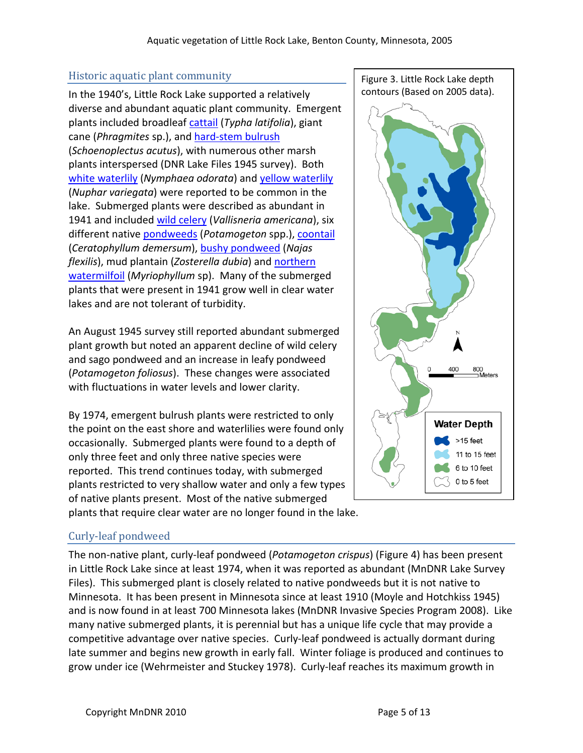## Historic aquatic plant community

In the 1940's, Little Rock Lake supported a relatively diverse and abundant aquatic plant community. Emergent plants included broadlea[f cattail](http://www.dnr.state.mn.us/aquatic_plants/emergent_plants/cattails.html) (*Typha latifolia*), giant cane (*Phragmites* sp.), and [hard-stem bulrush](http://www.dnr.state.mn.us/aquatic_plants/emergent_plants/bulrushes.html) (*Schoenoplectus acutus*), with numerous other marsh plants interspersed (DNR Lake Files 1945 survey). Both [white waterlily](http://www.dnr.state.mn.us/aquatic_plants/floatingleaf_plants/white_water_lily.html) (*Nymphaea odorata*) and [yellow waterlily](http://www.dnr.state.mn.us/aquatic_plants/floatingleaf_plants/spatterdock.html) (*Nuphar variegata*) were reported to be common in the lake. Submerged plants were described as abundant in 1941 and included [wild celery](http://www.dnr.state.mn.us/aquatic_plants/submerged_plants/wild_celery.html) (*Vallisneria americana*), six different native [pondweeds](http://www.dnr.state.mn.us/aquatic_plants/submerged_plants/broadleaf_pondweeds.html) (*Potamogeton* spp.), [coontail](http://www.dnr.state.mn.us/aquatic_plants/submerged_plants/coontail.html) (*Ceratophyllum demersum*), [bushy pondweed](http://www.dnr.state.mn.us/aquatic_plants/submerged_plants/bushy_pondweeds.html) (*Najas flexilis*), mud plantain (*Zosterella dubia*) and [northern](http://www.dnr.state.mn.us/aquatic_plants/submerged_plants/northern_watermilfoil.html)  [watermilfoil](http://www.dnr.state.mn.us/aquatic_plants/submerged_plants/northern_watermilfoil.html) (*Myriophyllum* sp). Many of the submerged plants that were present in 1941 grow well in clear water lakes and are not tolerant of turbidity.

An August 1945 survey still reported abundant submerged plant growth but noted an apparent decline of wild celery and sago pondweed and an increase in leafy pondweed (*Potamogeton foliosus*). These changes were associated with fluctuations in water levels and lower clarity.

By 1974, emergent bulrush plants were restricted to only the point on the east shore and waterlilies were found only occasionally. Submerged plants were found to a depth of only three feet and only three native species were reported. This trend continues today, with submerged plants restricted to very shallow water and only a few types of native plants present. Most of the native submerged plants that require clear water are no longer found in the lake.





## Curly-leaf pondweed

The non-native plant, [curly-leaf pondweed](http://www.dnr.state.mn.us/aquatic_plants/submerged_plants/curlyleaf_pondweed.html) (*Potamogeton crispus*) (Figure 4) has been present in Little Rock Lake since at least 1974, when it was reported as abundant (MnDNR Lake Survey Files). This submerged plant is closely related to native pondweeds but it is not native to Minnesota. It has been present in Minnesota since at least 1910 (Moyle and Hotchkiss 1945) and is now found in at least 700 Minnesota lakes (MnDNR Invasive Species Program 2008). Like many native submerged plants, it is perennial but has a unique life cycle that may provide a competitive advantage over native species. Curly-leaf pondweed is actually dormant during late summer and begins new growth in early fall. Winter foliage is produced and continues to grow under ice (Wehrmeister and Stuckey 1978). Curly-leaf reaches its maximum growth in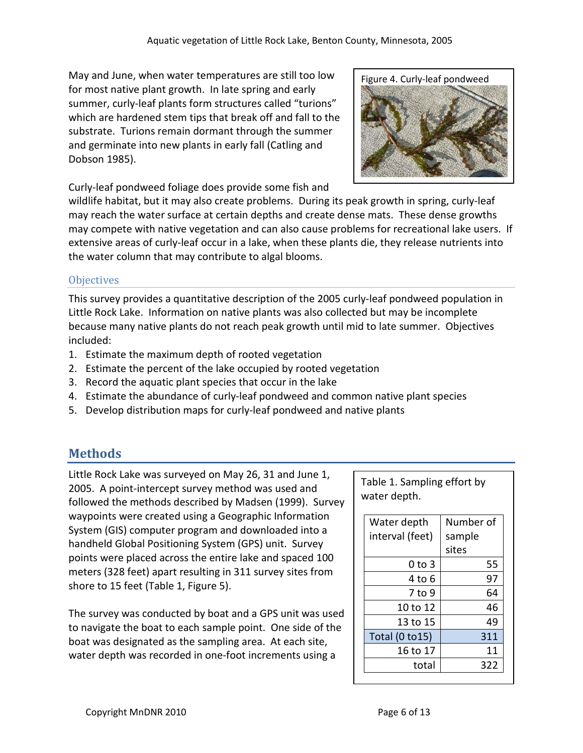May and June, when water temperatures are still too low for most native plant growth. In late spring and early summer, curly-leaf plants form structures called "turions" which are hardened stem tips that break off and fall to the substrate. Turions remain dormant through the summer and germinate into new plants in early fall (Catling and Dobson 1985).

Figure 4. Curly-leaf pondweed

Curly-leaf pondweed foliage does provide some fish and

wildlife habitat, but it may also create problems. During its peak growth in spring, curly-leaf may reach the water surface at certain depths and create dense mats. These dense growths may compete with native vegetation and can also cause problems for recreational lake users. If extensive areas of curly-leaf occur in a lake, when these plants die, they release nutrients into the water column that may contribute to algal blooms.

## **Objectives**

This survey provides a quantitative description of the 2005 curly-leaf pondweed population in Little Rock Lake. Information on native plants was also collected but may be incomplete because many native plants do not reach peak growth until mid to late summer. Objectives included:

- 1. Estimate the maximum depth of rooted vegetation
- 2. Estimate the percent of the lake occupied by rooted vegetation
- 3. Record the aquatic plant species that occur in the lake
- 4. Estimate the abundance of curly-leaf pondweed and common native plant species
- 5. Develop distribution maps for curly-leaf pondweed and native plants

# **Methods**

Little Rock Lake was surveyed on May 26, 31 and June 1, 2005. A point-intercept survey method was used and followed the methods described by Madsen (1999). Survey waypoints were created using a Geographic Information System (GIS) computer program and downloaded into a handheld Global Positioning System (GPS) unit. Survey points were placed across the entire lake and spaced 100 meters (328 feet) apart resulting in 311 survey sites from shore to 15 feet (Table 1, Figure 5).

The survey was conducted by boat and a GPS unit was used to navigate the boat to each sample point. One side of the boat was designated as the sampling area. At each site, water depth was recorded in one-foot increments using a

Table 1. Sampling effort by water depth.

| Water depth<br>interval (feet) | Number of<br>sample |  |
|--------------------------------|---------------------|--|
|                                | sites               |  |
| $0$ to 3                       | 55                  |  |
| 4 to 6                         | 97                  |  |
| 7 to 9                         | 64                  |  |
| 10 to 12                       | 46                  |  |
| 13 to 15                       | 49                  |  |
| Total (0 to 15)                | 311                 |  |
| 16 to 17                       | 11                  |  |
| total                          | 322                 |  |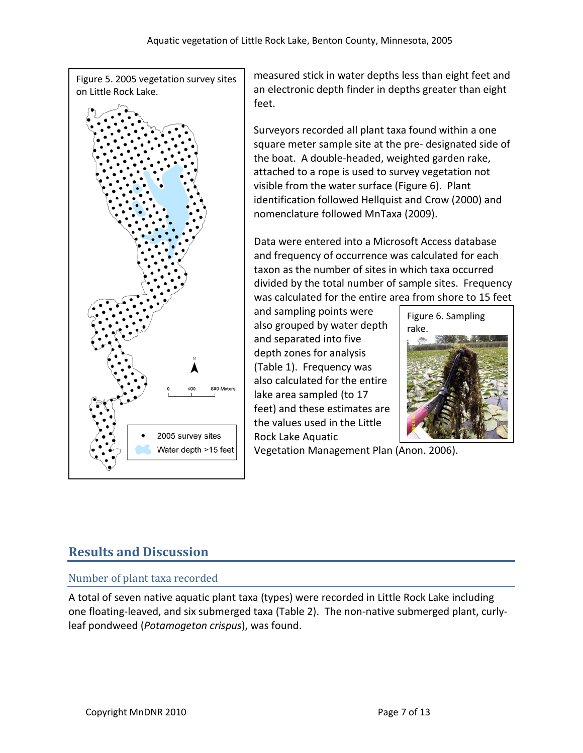Figure 5. 2005 vegetation survey sites on Little Rock Lake.



measured stick in water depths less than eight feet and an electronic depth finder in depths greater than eight feet.

Surveyors recorded all plant taxa found within a one square meter sample site at the pre- designated side of the boat. A double-headed, weighted garden rake, attached to a rope is used to survey vegetation not visible from the water surface (Figure 6). Plant identification followed Hellquist and Crow (2000) and nomenclature followed MnTaxa (2009).

Data were entered into a Microsoft Access database and frequency of occurrence was calculated for each taxon as the number of sites in which taxa occurred divided by the total number of sample sites. Frequency was calculated for the entire area from shore to 15 feet

and sampling points were also grouped by water depth and separated into five depth zones for analysis (Table 1). Frequency was also calculated for the entire lake area sampled (to 17 feet) and these estimates are the values used in the Little Rock Lake Aquatic

Figure 6. Sampling rake.



Vegetation Management Plan (Anon. 2006).

# **Results and Discussion**

## Number of plant taxa recorded

A total of seven native aquatic plant taxa (types) were recorded in Little Rock Lake including one floating-leaved, and six submerged taxa (Table 2). The non-native submerged plant, curlyleaf pondweed (*Potamogeton crispus*), was found.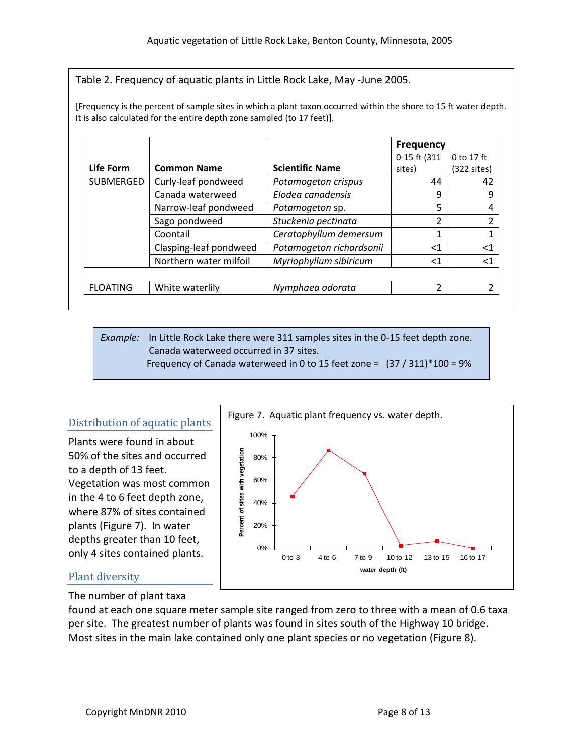Table 2. Frequency of aquatic plants in Little Rock Lake, May -June 2005.

[Frequency is the percent of sample sites in which a plant taxon occurred within the shore to 15 ft water depth. It is also calculated for the entire depth zone sampled (to 17 feet)].

|                 |                        |                          | <b>Frequency</b> |                       |
|-----------------|------------------------|--------------------------|------------------|-----------------------|
|                 |                        |                          | 0-15 ft (311     | 0 to 17 ft            |
| Life Form       | <b>Common Name</b>     | <b>Scientific Name</b>   | sites)           | $(322 \text{ sites})$ |
| SUBMERGED       | Curly-leaf pondweed    | Potamogeton crispus      | 44               | 42                    |
|                 | Canada waterweed       | Elodea canadensis        | 9                | 9                     |
|                 | Narrow-leaf pondweed   | Potamogeton sp.          | 5                | 4                     |
|                 | Sago pondweed          | Stuckenia pectinata      | າ                | 2                     |
|                 | Coontail               | Ceratophyllum demersum   |                  | 1                     |
|                 | Clasping-leaf pondweed | Potamogeton richardsonii | <1               | $<$ 1                 |
|                 | Northern water milfoil | Myriophyllum sibiricum   | $<$ 1            | $<$ 1                 |
|                 |                        |                          |                  |                       |
| <b>FLOATING</b> | White waterlily        | Nymphaea odorata         | າ                | 2                     |

*Example:* In Little Rock Lake there were 311 samples sites in the 0-15 feet depth zone. Canada waterweed occurred in 37 sites. Frequency of Canada waterweed in 0 to 15 feet zone =  $(37 / 311)^*100 = 9%$ 

### Distribution of aquatic plants

Plants were found in about 50% of the sites and occurred to a depth of 13 feet. Vegetation was most common in the 4 to 6 feet depth zone, where 87% of sites contained plants (Figure 7). In water depths greater than 10 feet, only 4 sites contained plants.



### Plant diversity

The number of plant taxa

found at each one square meter sample site ranged from zero to three with a mean of 0.6 taxa per site. The greatest number of plants was found in sites south of the Highway 10 bridge. Most sites in the main lake contained only one plant species or no vegetation (Figure 8).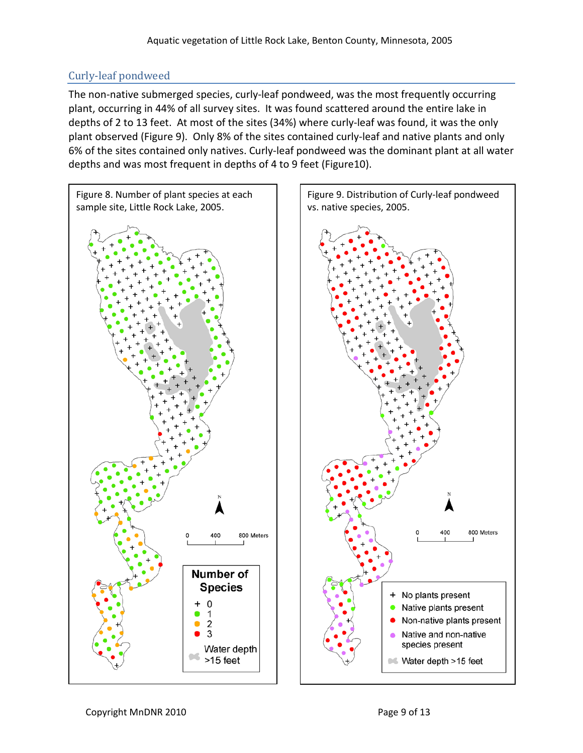## Curly-leaf pondweed

The non-native submerged species, curly-leaf pondweed, was the most frequently occurring plant, occurring in 44% of all survey sites. It was found scattered around the entire lake in depths of 2 to 13 feet. At most of the sites (34%) where curly-leaf was found, it was the only plant observed (Figure 9). Only 8% of the sites contained curly-leaf and native plants and only 6% of the sites contained only natives. Curly-leaf pondweed was the dominant plant at all water depths and was most frequent in depths of 4 to 9 feet (Figure10).

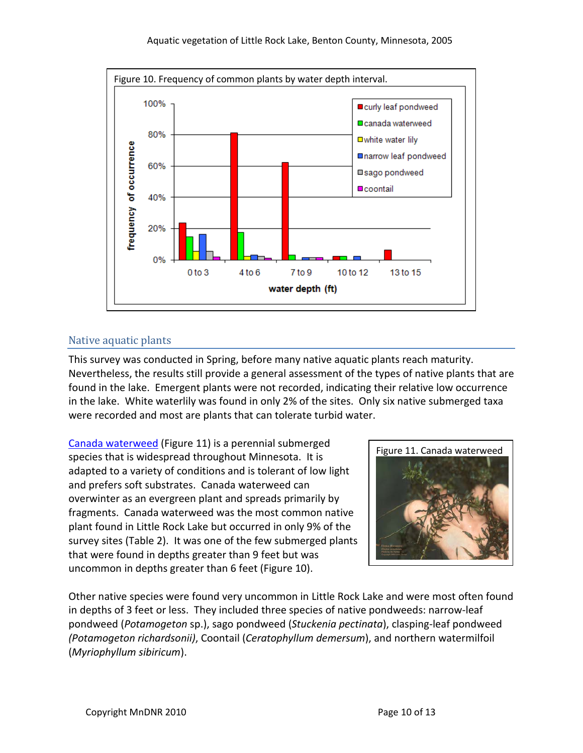

## Native aquatic plants

This survey was conducted in Spring, before many native aquatic plants reach maturity. Nevertheless, the results still provide a general assessment of the types of native plants that are found in the lake. Emergent plants were not recorded, indicating their relative low occurrence in the lake. White waterlily was found in only 2% of the sites. Only six native submerged taxa were recorded and most are plants that can tolerate turbid water.

[Canada waterweed](http://www.dnr.state.mn.us/aquatic_plants/submerged_plants/canada_waterweed.html) (Figure 11) is a perennial submerged species that is widespread throughout Minnesota. It is adapted to a variety of conditions and is tolerant of low light and prefers soft substrates. Canada waterweed can overwinter as an evergreen plant and spreads primarily by fragments. Canada waterweed was the most common native plant found in Little Rock Lake but occurred in only 9% of the survey sites (Table 2). It was one of the few submerged plants that were found in depths greater than 9 feet but was uncommon in depths greater than 6 feet (Figure 10).



Other native species were found very uncommon in Little Rock Lake and were most often found in depths of 3 feet or less. They included three species of native pondweeds: narrow-leaf pondweed (*Potamogeton* sp.), sago pondweed (*Stuckenia pectinata*), clasping-leaf pondweed *(Potamogeton richardsonii)*, Coontail (*Ceratophyllum demersum*), and northern watermilfoil (*Myriophyllum sibiricum*).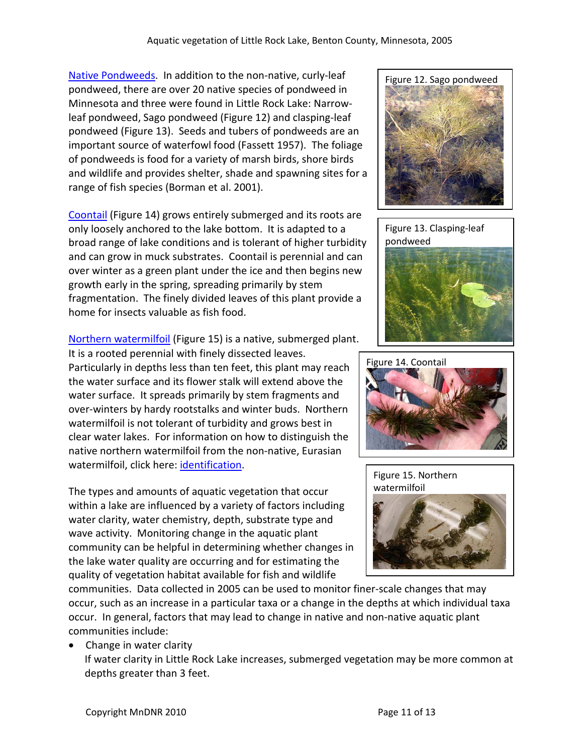[Native Pondweeds.](http://www.dnr.state.mn.us/aquatic_plants/submerged_plants/index.html) In addition to the non-native, curly-leaf pondweed, there are over 20 native species of pondweed in Minnesota and three were found in Little Rock Lake: Narrowleaf pondweed, Sago pondweed (Figure 12) and clasping-leaf pondweed (Figure 13). Seeds and tubers of pondweeds are an important source of waterfowl food (Fassett 1957). The foliage of pondweeds is food for a variety of marsh birds, shore birds and wildlife and provides shelter, shade and spawning sites for a range of fish species (Borman et al. 2001).

[Coontail](http://www.dnr.state.mn.us/aquatic_plants/submerged_plants/coontail.html) (Figure 14) grows entirely submerged and its roots are only loosely anchored to the lake bottom. It is adapted to a broad range of lake conditions and is tolerant of higher turbidity and can grow in muck substrates. Coontail is perennial and can over winter as a green plant under the ice and then begins new growth early in the spring, spreading primarily by stem fragmentation. The finely divided leaves of this plant provide a home for insects valuable as fish food.

[Northern watermilfoil](http://www.dnr.state.mn.us/aquatic_plants/submerged_plants/northern_watermilfoil.html) (Figure 15) is a native, submerged plant.

It is a rooted perennial with finely dissected leaves. Particularly in depths less than ten feet, this plant may reach the water surface and its flower stalk will extend above the water surface. It spreads primarily by stem fragments and over-winters by hardy rootstalks and winter buds. Northern watermilfoil is not tolerant of turbidity and grows best in clear water lakes. For information on how to distinguish the native northern watermilfoil from the non-native, Eurasian watermilfoil, click here: [identification.](http://files.dnr.state.mn.us/natural_resources/invasives/aquaticplants/milfoil/idcard.pdf)

The types and amounts of aquatic vegetation that occur within a lake are influenced by a variety of factors including water clarity, water chemistry, depth, substrate type and wave activity. Monitoring change in the aquatic plant community can be helpful in determining whether changes in the lake water quality are occurring and for estimating the quality of vegetation habitat available for fish and wildlife









communities. Data collected in 2005 can be used to monitor finer-scale changes that may occur, such as an increase in a particular taxa or a change in the depths at which individual taxa occur. In general, factors that may lead to change in native and non-native aquatic plant communities include:

• Change in water clarity If water clarity in Little Rock Lake increases, submerged vegetation may be more common at depths greater than 3 feet.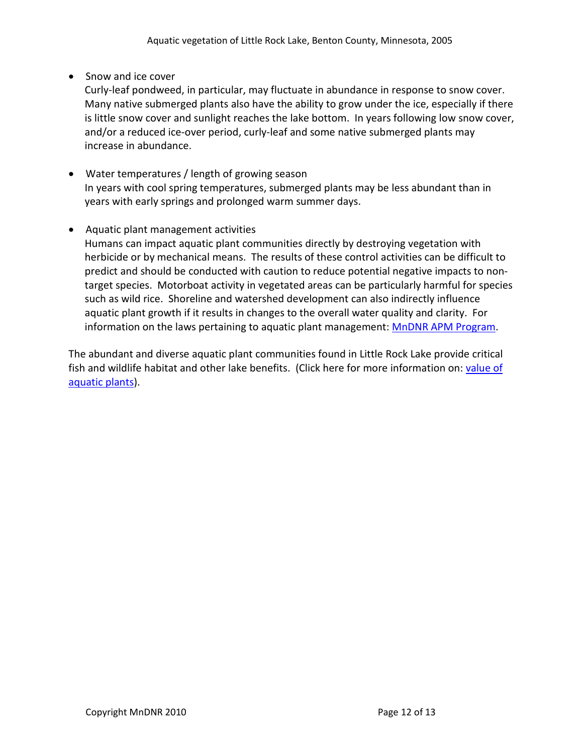• Snow and ice cover

Curly-leaf pondweed, in particular, may fluctuate in abundance in response to snow cover. Many native submerged plants also have the ability to grow under the ice, especially if there is little snow cover and sunlight reaches the lake bottom. In years following low snow cover, and/or a reduced ice-over period, curly-leaf and some native submerged plants may increase in abundance.

• Water temperatures / length of growing season In years with cool spring temperatures, submerged plants may be less abundant than in years with early springs and prolonged warm summer days.

### • Aquatic plant management activities

Humans can impact aquatic plant communities directly by destroying vegetation with herbicide or by mechanical means. The results of these control activities can be difficult to predict and should be conducted with caution to reduce potential negative impacts to nontarget species. Motorboat activity in vegetated areas can be particularly harmful for species such as wild rice. Shoreline and watershed development can also indirectly influence aquatic plant growth if it results in changes to the overall water quality and clarity. For information on the laws pertaining to aquatic plant management[: MnDNR APM Program.](http://www.dnr.state.mn.us/ecological_services/apm/index.html)

The abundant and diverse aquatic plant communities found in Little Rock Lake provide critical fish and wildlife habitat and other lake benefits. (Click here for more information on: [value of](http://www.dnr.state.mn.us/shorelandmgmt/apg/value.html)  [aquatic plants\)](http://www.dnr.state.mn.us/shorelandmgmt/apg/value.html).